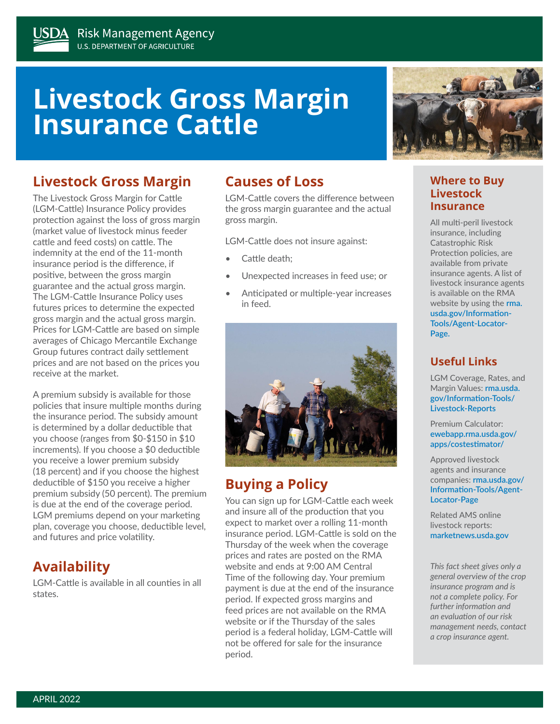# **Livestock Gross Margin Insurance Cattle**

# **Livestock Gross Margin**

The Livestock Gross Margin for Cattle (LGM-Cattle) Insurance Policy provides protection against the loss of gross margin (market value of livestock minus feeder cattle and feed costs) on cattle. The indemnity at the end of the 11-month insurance period is the difference, if positive, between the gross margin guarantee and the actual gross margin. The LGM-Cattle Insurance Policy uses futures prices to determine the expected gross margin and the actual gross margin. Prices for LGM-Cattle are based on simple averages of Chicago Mercantile Exchange Group futures contract daily settlement prices and are not based on the prices you receive at the market.

A premium subsidy is available for those policies that insure multiple months during the insurance period. The subsidy amount is determined by a dollar deductible that you choose (ranges from \$0-\$150 in \$10 increments). If you choose a \$0 deductible you receive a lower premium subsidy (18 percent) and if you choose the highest deductible of \$150 you receive a higher premium subsidy (50 percent). The premium is due at the end of the coverage period. LGM premiums depend on your marketing plan, coverage you choose, deductible level, and futures and price volatility.

# **Availability**

LGM-Cattle is available in all counties in all states.

## **Causes of Loss**

LGM-Cattle covers the difference between the gross margin guarantee and the actual gross margin.

LGM-Cattle does not insure against:

- Cattle death:
- Unexpected increases in feed use; or
- Anticipated or multiple-year increases in feed.



# **Buying a Policy**

You can sign up for LGM-Cattle each week and insure all of the production that you expect to market over a rolling 11-month insurance period. LGM-Cattle is sold on the Thursday of the week when the coverage prices and rates are posted on the RMA website and ends at 9:00 AM Central Time of the following day. Your premium payment is due at the end of the insurance period. If expected gross margins and feed prices are not available on the RMA website or if the Thursday of the sales period is a federal holiday, LGM-Cattle will not be offered for sale for the insurance period.



#### **Where to Buy Livestock Insurance**

All multi-peril livestock insurance, including Catastrophic Risk Protection policies, are available from private insurance agents. A list of livestock insurance agents is available on the RMA website by using the **[rma.](http://rma.usda.gov/Information-Tools/Agent-Locator-Page) [usda.gov/Information-](http://rma.usda.gov/Information-Tools/Agent-Locator-Page)[Tools/Agent-Locator-](http://rma.usda.gov/Information-Tools/Agent-Locator-Page)[Page.](http://rma.usda.gov/Information-Tools/Agent-Locator-Page)**

#### **Useful Links**

LGM Coverage, Rates, and Margin Values: **[rma.usda.](http://rma.usda.gov/Information-Tools/Livestock-Reports) [gov/Information-Tools/](http://rma.usda.gov/Information-Tools/Livestock-Reports) [Livestock-Reports](http://rma.usda.gov/Information-Tools/Livestock-Reports)**

Premium Calculator: **[ewebapp.rma.usda.gov/](https://ewebapp.rma.usda.gov/apps/costestimator/) [apps/costestimator/](https://ewebapp.rma.usda.gov/apps/costestimator/)**

Approved livestock agents and insurance companies: **[rma.usda.gov/](http://rma.usda.gov/Information-Tools/Agent-Locator-Page) [Information-Tools/Agent-](http://rma.usda.gov/Information-Tools/Agent-Locator-Page)[Locator-Page](http://rma.usda.gov/Information-Tools/Agent-Locator-Page)**

Related AMS online livestock reports: **[marketnews.usda.gov](https://marketnews.usda.gov/mnp/)**

*This fact sheet gives only a general overview of the crop insurance program and is not a complete policy. For further information and an evaluation of our risk management needs, contact a crop insurance agent.*